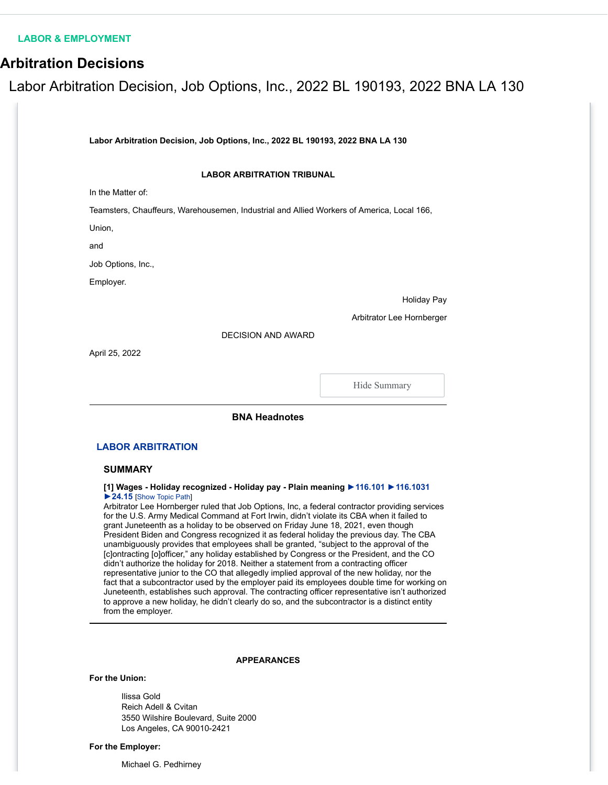## **[LABOR & EMPLOYMENT](https://www.bloomberglaw.com/product/labor/page/le_home)**

## **Arbitration Decisions**

# Labor Arbitration Decision, Job Options, Inc., 2022 BL 190193, 2022 BNA LA 130

**Labor Arbitration Decision, Job Options, Inc., 2022 BL 190193, 2022 BNA LA 130**

## **LABOR ARBITRATION TRIBUNAL**

In the Matter of:

Teamsters, Chauffeurs, Warehousemen, Industrial and Allied Workers of America, Local 166,

Union,

and

Job Options, Inc.,

Employer.

#### Holiday Pay

Arbitrator Lee Hornberger

DECISION AND AWARD

April 25, 2022

Hide Summary

## **BNA Headnotes**

## **[LABOR ARBITRATION](https://www.bloomberglaw.com/product/labor/document/1475593832196352)**

## **SUMMARY**

## **[1] Wages - Holiday recognized - Holiday pay - Plain meaning [►116.101](https://www.bloomberglaw.com/product/labor/document/X7TNCP58000000/class_outline_search?source_id=105.456008&search_service_code=laco-ref&search_node_id=116.101) [►116.1031](https://www.bloomberglaw.com/product/labor/document/X7TNCP58000000/class_outline_search?source_id=105.456008&search_service_code=laco-ref&search_node_id=116.1031) [►24.15](https://www.bloomberglaw.com/product/labor/document/X7TNCP58000000/class_outline_search?source_id=105.456008&search_service_code=laco-ref&search_node_id=24.15)** [Show Topic Path]

Arbitrator Lee Hornberger ruled that Job Options, Inc, a federal contractor providing services for the U.S. Army Medical Command at Fort Irwin, didn't violate its CBA when it failed to grant Juneteenth as a holiday to be observed on Friday June 18, 2021, even though President Biden and Congress recognized it as federal holiday the previous day. The CBA unambiguously provides that employees shall be granted, "subject to the approval of the [c]ontracting [o]officer," any holiday established by Congress or the President, and the CO didn't authorize the holiday for 2018. Neither a statement from a contracting officer representative junior to the CO that allegedly implied approval of the new holiday, nor the fact that a subcontractor used by the employer paid its employees double time for working on Juneteenth, establishes such approval. The contracting officer representative isn't authorized to approve a new holiday, he didn't clearly do so, and the subcontractor is a distinct entity from the employer.

## **APPEARANCES**

#### **For the Union:**

Ilissa Gold Reich Adell & Cvitan 3550 Wilshire Boulevard, Suite 2000 Los Angeles, CA 90010-2421

#### **For the Employer:**

Michael G. Pedhirney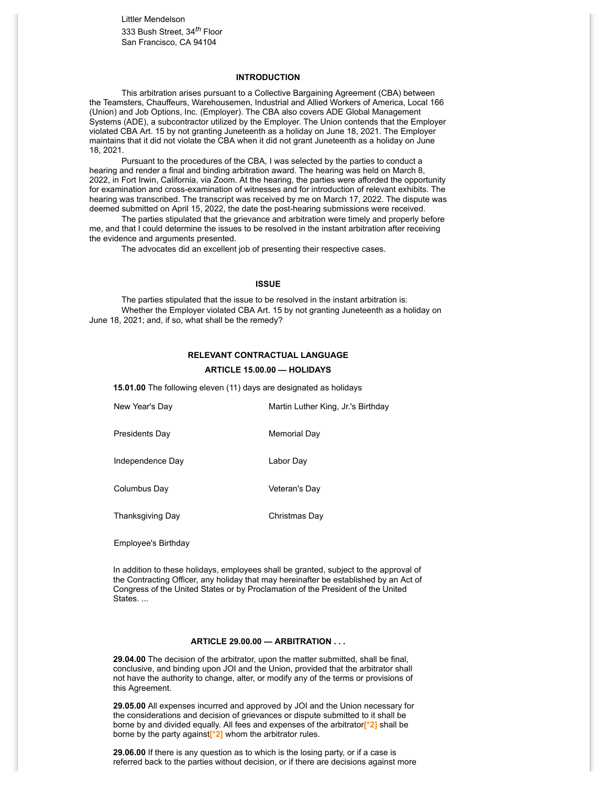Littler Mendelson 333 Bush Street, 34*th* Floor San Francisco, CA 94104

## **INTRODUCTION**

This arbitration arises pursuant to a Collective Bargaining Agreement (CBA) between the Teamsters, Chauffeurs, Warehousemen, Industrial and Allied Workers of America, Local 166 (Union) and Job Options, Inc. (Employer). The CBA also covers ADE Global Management Systems (ADE), a subcontractor utilized by the Employer. The Union contends that the Employer violated CBA Art. 15 by not granting Juneteenth as a holiday on June 18, 2021. The Employer maintains that it did not violate the CBA when it did not grant Juneteenth as a holiday on June 18, 2021.

Pursuant to the procedures of the CBA, I was selected by the parties to conduct a hearing and render a final and binding arbitration award. The hearing was held on March 8, 2022, in Fort Irwin, California, via Zoom. At the hearing, the parties were afforded the opportunity for examination and cross-examination of witnesses and for introduction of relevant exhibits. The hearing was transcribed. The transcript was received by me on March 17, 2022. The dispute was deemed submitted on April 15, 2022, the date the post-hearing submissions were received.

The parties stipulated that the grievance and arbitration were timely and properly before me, and that I could determine the issues to be resolved in the instant arbitration after receiving the evidence and arguments presented.

The advocates did an excellent job of presenting their respective cases.

## **ISSUE**

The parties stipulated that the issue to be resolved in the instant arbitration is: Whether the Employer violated CBA Art. 15 by not granting Juneteenth as a holiday on June 18, 2021; and, if so, what shall be the remedy?

#### **RELEVANT CONTRACTUAL LANGUAGE**

#### **ARTICLE 15.00.00 — HOLIDAYS**

**15.01.00** The following eleven (11) days are designated as holidays

| New Year's Day          | Martin Luther King, Jr.'s Birthday |
|-------------------------|------------------------------------|
| <b>Presidents Day</b>   | Memorial Day                       |
| Independence Day        | Labor Day                          |
| Columbus Day            | Veteran's Day                      |
| <b>Thanksgiving Day</b> | Christmas Day                      |
|                         |                                    |

Employee's Birthday

In addition to these holidays, employees shall be granted, subject to the approval of the Contracting Officer, any holiday that may hereinafter be established by an Act of Congress of the United States or by Proclamation of the President of the United States. ...

## **ARTICLE 29.00.00 — ARBITRATION . . .**

**29.04.00** The decision of the arbitrator, upon the matter submitted, shall be final, conclusive, and binding upon JOI and the Union, provided that the arbitrator shall not have the authority to change, alter, or modify any of the terms or provisions of this Agreement.

**29.05.00** All expenses incurred and approved by JOI and the Union necessary for the considerations and decision of grievances or dispute submitted to it shall be borne by and divided equally. All fees and expenses of the arbitrator**[\*2]** shall be borne by the party against**[\*2]** whom the arbitrator rules.

**29.06.00** If there is any question as to which is the losing party, or if a case is referred back to the parties without decision, or if there are decisions against more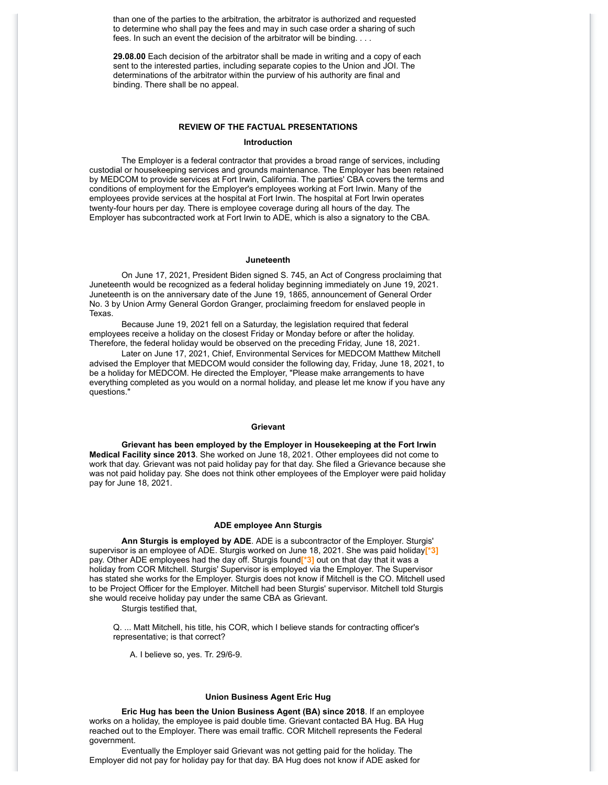than one of the parties to the arbitration, the arbitrator is authorized and requested to determine who shall pay the fees and may in such case order a sharing of such fees. In such an event the decision of the arbitrator will be binding. . . .

**29.08.00** Each decision of the arbitrator shall be made in writing and a copy of each sent to the interested parties, including separate copies to the Union and JOI. The determinations of the arbitrator within the purview of his authority are final and binding. There shall be no appeal.

#### **REVIEW OF THE FACTUAL PRESENTATIONS**

#### **Introduction**

The Employer is a federal contractor that provides a broad range of services, including custodial or housekeeping services and grounds maintenance. The Employer has been retained by MEDCOM to provide services at Fort Irwin, California. The parties' CBA covers the terms and conditions of employment for the Employer's employees working at Fort Irwin. Many of the employees provide services at the hospital at Fort Irwin. The hospital at Fort Irwin operates twenty-four hours per day. There is employee coverage during all hours of the day. The Employer has subcontracted work at Fort Irwin to ADE, which is also a signatory to the CBA.

## **Juneteenth**

On June 17, 2021, President Biden signed S. 745, an Act of Congress proclaiming that Juneteenth would be recognized as a federal holiday beginning immediately on June 19, 2021. Juneteenth is on the anniversary date of the June 19, 1865, announcement of General Order No. 3 by Union Army General Gordon Granger, proclaiming freedom for enslaved people in Texas.

Because June 19, 2021 fell on a Saturday, the legislation required that federal employees receive a holiday on the closest Friday or Monday before or after the holiday. Therefore, the federal holiday would be observed on the preceding Friday, June 18, 2021.

Later on June 17, 2021, Chief, Environmental Services for MEDCOM Matthew Mitchell advised the Employer that MEDCOM would consider the following day, Friday, June 18, 2021, to be a holiday for MEDCOM. He directed the Employer, "Please make arrangements to have everything completed as you would on a normal holiday, and please let me know if you have any questions."

## **Grievant**

**Grievant has been employed by the Employer in Housekeeping at the Fort Irwin Medical Facility since 2013**. She worked on June 18, 2021. Other employees did not come to work that day. Grievant was not paid holiday pay for that day. She filed a Grievance because she was not paid holiday pay. She does not think other employees of the Employer were paid holiday pay for June 18, 2021.

#### **ADE employee Ann Sturgis**

**Ann Sturgis is employed by ADE**. ADE is a subcontractor of the Employer. Sturgis' supervisor is an employee of ADE. Sturgis worked on June 18, 2021. She was paid holiday**[\*3]** pay. Other ADE employees had the day off. Sturgis found**[\*3]** out on that day that it was a holiday from COR Mitchell. Sturgis' Supervisor is employed via the Employer. The Supervisor has stated she works for the Employer. Sturgis does not know if Mitchell is the CO. Mitchell used to be Project Officer for the Employer. Mitchell had been Sturgis' supervisor. Mitchell told Sturgis she would receive holiday pay under the same CBA as Grievant.

Sturgis testified that,

Q. ... Matt Mitchell, his title, his COR, which I believe stands for contracting officer's representative; is that correct?

A. I believe so, yes. Tr. 29/6-9.

#### **Union Business Agent Eric Hug**

**Eric Hug has been the Union Business Agent (BA) since 2018**. If an employee works on a holiday, the employee is paid double time. Grievant contacted BA Hug. BA Hug reached out to the Employer. There was email traffic. COR Mitchell represents the Federal government.

Eventually the Employer said Grievant was not getting paid for the holiday. The Employer did not pay for holiday pay for that day. BA Hug does not know if ADE asked for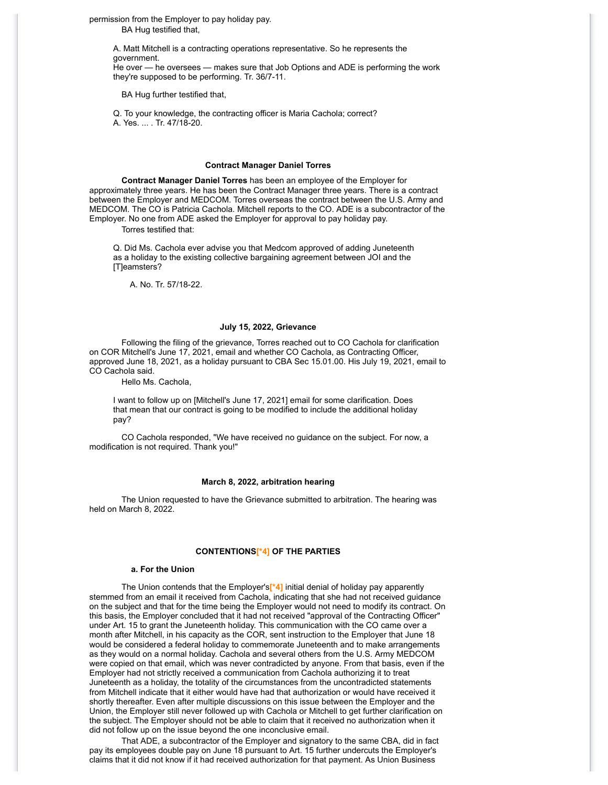permission from the Employer to pay holiday pay.

BA Hug testified that,

A. Matt Mitchell is a contracting operations representative. So he represents the government. He over — he oversees — makes sure that Job Options and ADE is performing the work they're supposed to be performing. Tr. 36/7-11.

BA Hug further testified that,

Q. To your knowledge, the contracting officer is Maria Cachola; correct? A. Yes. ... . Tr. 47/18-20.

#### **Contract Manager Daniel Torres**

**Contract Manager Daniel Torres** has been an employee of the Employer for approximately three years. He has been the Contract Manager three years. There is a contract between the Employer and MEDCOM. Torres overseas the contract between the U.S. Army and MEDCOM. The CO is Patricia Cachola. Mitchell reports to the CO. ADE is a subcontractor of the Employer. No one from ADE asked the Employer for approval to pay holiday pay.

Torres testified that:

Q. Did Ms. Cachola ever advise you that Medcom approved of adding Juneteenth as a holiday to the existing collective bargaining agreement between JOI and the [T]eamsters?

A. No. Tr. 57/18-22.

#### **July 15, 2022, Grievance**

Following the filing of the grievance, Torres reached out to CO Cachola for clarification on COR Mitchell's June 17, 2021, email and whether CO Cachola, as Contracting Officer, approved June 18, 2021, as a holiday pursuant to CBA Sec 15.01.00. His July 19, 2021, email to CO Cachola said.

Hello Ms. Cachola,

I want to follow up on [Mitchell's June 17, 2021] email for some clarification. Does that mean that our contract is going to be modified to include the additional holiday pay?

CO Cachola responded, "We have received no guidance on the subject. For now, a modification is not required. Thank you!"

## **March 8, 2022, arbitration hearing**

The Union requested to have the Grievance submitted to arbitration. The hearing was held on March 8, 2022.

## **CONTENTIONS[\*4] OF THE PARTIES**

#### **a. For the Union**

The Union contends that the Employer's**[\*4]** initial denial of holiday pay apparently stemmed from an email it received from Cachola, indicating that she had not received guidance on the subject and that for the time being the Employer would not need to modify its contract. On this basis, the Employer concluded that it had not received "approval of the Contracting Officer" under Art. 15 to grant the Juneteenth holiday. This communication with the CO came over a month after Mitchell, in his capacity as the COR, sent instruction to the Employer that June 18 would be considered a federal holiday to commemorate Juneteenth and to make arrangements as they would on a normal holiday. Cachola and several others from the U.S. Army MEDCOM were copied on that email, which was never contradicted by anyone. From that basis, even if the Employer had not strictly received a communication from Cachola authorizing it to treat Juneteenth as a holiday, the totality of the circumstances from the uncontradicted statements from Mitchell indicate that it either would have had that authorization or would have received it shortly thereafter. Even after multiple discussions on this issue between the Employer and the Union, the Employer still never followed up with Cachola or Mitchell to get further clarification on the subject. The Employer should not be able to claim that it received no authorization when it did not follow up on the issue beyond the one inconclusive email.

That ADE, a subcontractor of the Employer and signatory to the same CBA, did in fact pay its employees double pay on June 18 pursuant to Art. 15 further undercuts the Employer's claims that it did not know if it had received authorization for that payment. As Union Business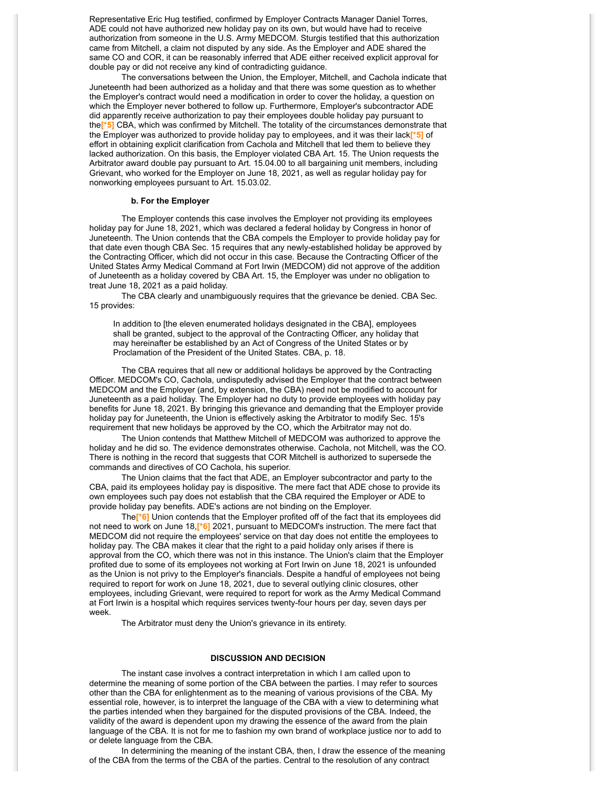Representative Eric Hug testified, confirmed by Employer Contracts Manager Daniel Torres, ADE could not have authorized new holiday pay on its own, but would have had to receive authorization from someone in the U.S. Army MEDCOM. Sturgis testified that this authorization came from Mitchell, a claim not disputed by any side. As the Employer and ADE shared the same CO and COR, it can be reasonably inferred that ADE either received explicit approval for double pay or did not receive any kind of contradicting guidance.

The conversations between the Union, the Employer, Mitchell, and Cachola indicate that Juneteenth had been authorized as a holiday and that there was some question as to whether the Employer's contract would need a modification in order to cover the holiday, a question on which the Employer never bothered to follow up. Furthermore, Employer's subcontractor ADE did apparently receive authorization to pay their employees double holiday pay pursuant to the**[\*5]** CBA, which was confirmed by Mitchell. The totality of the circumstances demonstrate that the Employer was authorized to provide holiday pay to employees, and it was their lack**[\*5]** of effort in obtaining explicit clarification from Cachola and Mitchell that led them to believe they lacked authorization. On this basis, the Employer violated CBA Art. 15. The Union requests the Arbitrator award double pay pursuant to Art. 15.04.00 to all bargaining unit members, including Grievant, who worked for the Employer on June 18, 2021, as well as regular holiday pay for nonworking employees pursuant to Art. 15.03.02.

## **b. For the Employer**

The Employer contends this case involves the Employer not providing its employees holiday pay for June 18, 2021, which was declared a federal holiday by Congress in honor of Juneteenth. The Union contends that the CBA compels the Employer to provide holiday pay for that date even though CBA Sec. 15 requires that any newly-established holiday be approved by the Contracting Officer, which did not occur in this case. Because the Contracting Officer of the United States Army Medical Command at Fort Irwin (MEDCOM) did not approve of the addition of Juneteenth as a holiday covered by CBA Art. 15, the Employer was under no obligation to treat June 18, 2021 as a paid holiday.

The CBA clearly and unambiguously requires that the grievance be denied. CBA Sec. 15 provides:

In addition to [the eleven enumerated holidays designated in the CBA], employees shall be granted, subject to the approval of the Contracting Officer, any holiday that may hereinafter be established by an Act of Congress of the United States or by Proclamation of the President of the United States. CBA, p. 18.

The CBA requires that all new or additional holidays be approved by the Contracting Officer. MEDCOM's CO, Cachola, undisputedly advised the Employer that the contract between MEDCOM and the Employer (and, by extension, the CBA) need not be modified to account for Juneteenth as a paid holiday. The Employer had no duty to provide employees with holiday pay benefits for June 18, 2021. By bringing this grievance and demanding that the Employer provide holiday pay for Juneteenth, the Union is effectively asking the Arbitrator to modify Sec. 15's requirement that new holidays be approved by the CO, which the Arbitrator may not do.

The Union contends that Matthew Mitchell of MEDCOM was authorized to approve the holiday and he did so. The evidence demonstrates otherwise. Cachola, not Mitchell, was the CO. There is nothing in the record that suggests that COR Mitchell is authorized to supersede the commands and directives of CO Cachola, his superior.

The Union claims that the fact that ADE, an Employer subcontractor and party to the CBA, paid its employees holiday pay is dispositive. The mere fact that ADE chose to provide its own employees such pay does not establish that the CBA required the Employer or ADE to provide holiday pay benefits. ADE's actions are not binding on the Employer.

The**[\*6]** Union contends that the Employer profited off of the fact that its employees did not need to work on June 18,**[\*6]** 2021, pursuant to MEDCOM's instruction. The mere fact that MEDCOM did not require the employees' service on that day does not entitle the employees to holiday pay. The CBA makes it clear that the right to a paid holiday only arises if there is approval from the CO, which there was not in this instance. The Union's claim that the Employer profited due to some of its employees not working at Fort Irwin on June 18, 2021 is unfounded as the Union is not privy to the Employer's financials. Despite a handful of employees not being required to report for work on June 18, 2021, due to several outlying clinic closures, other employees, including Grievant, were required to report for work as the Army Medical Command at Fort Irwin is a hospital which requires services twenty-four hours per day, seven days per week.

The Arbitrator must deny the Union's grievance in its entirety.

#### **DISCUSSION AND DECISION**

The instant case involves a contract interpretation in which I am called upon to determine the meaning of some portion of the CBA between the parties. I may refer to sources other than the CBA for enlightenment as to the meaning of various provisions of the CBA. My essential role, however, is to interpret the language of the CBA with a view to determining what the parties intended when they bargained for the disputed provisions of the CBA. Indeed, the validity of the award is dependent upon my drawing the essence of the award from the plain language of the CBA. It is not for me to fashion my own brand of workplace justice nor to add to or delete language from the CBA.

In determining the meaning of the instant CBA, then, I draw the essence of the meaning of the CBA from the terms of the CBA of the parties. Central to the resolution of any contract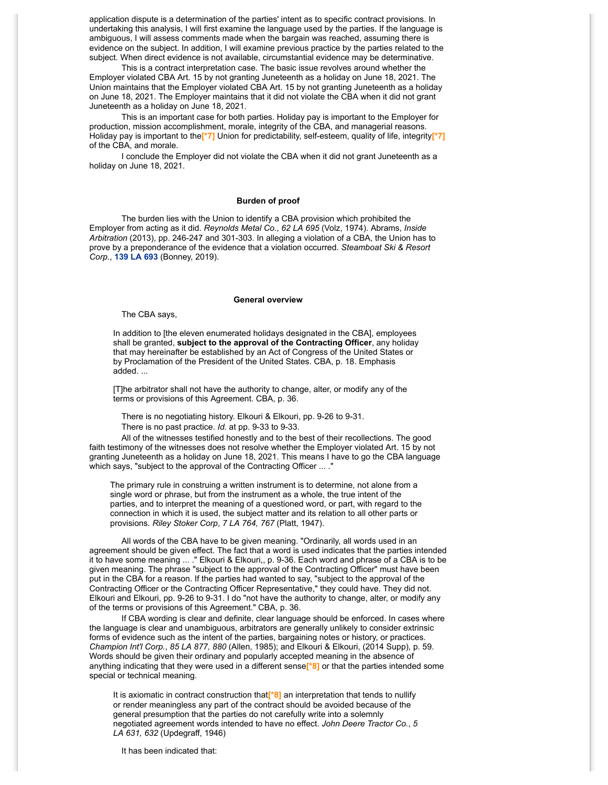application dispute is a determination of the parties' intent as to specific contract provisions. In undertaking this analysis, I will first examine the language used by the parties. If the language is ambiguous, I will assess comments made when the bargain was reached, assuming there is evidence on the subject. In addition, I will examine previous practice by the parties related to the subject. When direct evidence is not available, circumstantial evidence may be determinative.

This is a contract interpretation case. The basic issue revolves around whether the Employer violated CBA Art. 15 by not granting Juneteenth as a holiday on June 18, 2021. The Union maintains that the Employer violated CBA Art. 15 by not granting Juneteenth as a holiday on June 18, 2021. The Employer maintains that it did not violate the CBA when it did not grant Juneteenth as a holiday on June 18, 2021.

This is an important case for both parties. Holiday pay is important to the Employer for production, mission accomplishment, morale, integrity of the CBA, and managerial reasons. Holiday pay is important to the**[\*7]** Union for predictability, self-esteem, quality of life, integrity**[\*7]** of the CBA, and morale.

I conclude the Employer did not violate the CBA when it did not grant Juneteenth as a holiday on June 18, 2021.

#### **Burden of proof**

The burden lies with the Union to identify a CBA provision which prohibited the Employer from acting as it did. *Reynolds Metal Co.*, *62 LA 695* (Volz, 1974). Abrams, *Inside Arbitration* (2013), pp. 246-247 and 301-303. In alleging a violation of a CBA, the Union has to prove by a preponderance of the evidence that a violation occurred. *Steamboat Ski & Resort Corp.*, **[139 LA 693](https://www.bloomberglaw.com/product/labor/document/1?citation=139%20la%20693&summary=yes#jcite)** (Bonney, 2019).

#### **General overview**

The CBA says,

In addition to [the eleven enumerated holidays designated in the CBA], employees shall be granted, **subject to the approval of the Contracting Officer**, any holiday that may hereinafter be established by an Act of Congress of the United States or by Proclamation of the President of the United States. CBA, p. 18. Emphasis added. ...

[T]he arbitrator shall not have the authority to change, alter, or modify any of the terms or provisions of this Agreement. CBA, p. 36.

There is no negotiating history. Elkouri & Elkouri, pp. 9-26 to 9-31. There is no past practice. *Id.* at pp. 9-33 to 9-33.

All of the witnesses testified honestly and to the best of their recollections. The good faith testimony of the witnesses does not resolve whether the Employer violated Art. 15 by not granting Juneteenth as a holiday on June 18, 2021. This means I have to go the CBA language which says, "subject to the approval of the Contracting Officer ... ."

The primary rule in construing a written instrument is to determine, not alone from a single word or phrase, but from the instrument as a whole, the true intent of the parties, and to interpret the meaning of a questioned word, or part, with regard to the connection in which it is used, the subject matter and its relation to all other parts or provisions. *Riley Stoker Corp*, *7 LA 764, 767* (Platt, 1947).

All words of the CBA have to be given meaning. "Ordinarily, all words used in an agreement should be given effect. The fact that a word is used indicates that the parties intended it to have some meaning ... ." Elkouri & Elkouri,, p. 9-36. Each word and phrase of a CBA is to be given meaning. The phrase "subject to the approval of the Contracting Officer" must have been put in the CBA for a reason. If the parties had wanted to say, "subject to the approval of the Contracting Officer or the Contracting Officer Representative," they could have. They did not. Elkouri and Elkouri, pp. 9-26 to 9-31. I do "not have the authority to change, alter, or modify any of the terms or provisions of this Agreement." CBA, p. 36.

If CBA wording is clear and definite, clear language should be enforced. In cases where the language is clear and unambiguous, arbitrators are generally unlikely to consider extrinsic forms of evidence such as the intent of the parties, bargaining notes or history, or practices. *Champion Int'l Corp.*, *85 LA 877, 880* (Allen, 1985); and Elkouri & Elkouri, (2014 Supp), p. 59. Words should be given their ordinary and popularly accepted meaning in the absence of anything indicating that they were used in a different sense**[\*8]** or that the parties intended some special or technical meaning.

It is axiomatic in contract construction that**[\*8]** an interpretation that tends to nullify or render meaningless any part of the contract should be avoided because of the general presumption that the parties do not carefully write into a solemnly negotiated agreement words intended to have no effect. *John Deere Tractor Co.*, *5 LA 631, 632* (Updegraff, 1946)

It has been indicated that: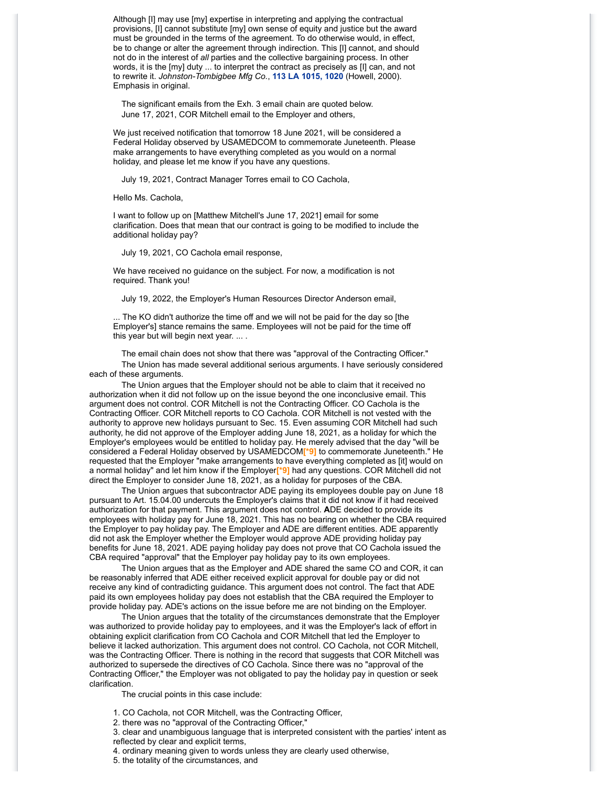Although [I] may use [my] expertise in interpreting and applying the contractual provisions, [I] cannot substitute [my] own sense of equity and justice but the award must be grounded in the terms of the agreement. To do otherwise would, in effect, be to change or alter the agreement through indirection. This [I] cannot, and should not do in the interest of *all* parties and the collective bargaining process. In other words, it is the [my] duty ... to interpret the contract as precisely as [I] can, and not to rewrite it. *Johnston-Tombigbee Mfg Co.*, **[113 LA 1015, 1020](https://www.bloomberglaw.com/product/labor/document/1?citation=113%20la%201015&summary=yes#jcite)** (Howell, 2000). Emphasis in original.

The significant emails from the Exh. 3 email chain are quoted below. June 17, 2021, COR Mitchell email to the Employer and others,

We just received notification that tomorrow 18 June 2021, will be considered a Federal Holiday observed by USAMEDCOM to commemorate Juneteenth. Please make arrangements to have everything completed as you would on a normal holiday, and please let me know if you have any questions.

July 19, 2021, Contract Manager Torres email to CO Cachola,

Hello Ms. Cachola,

I want to follow up on [Matthew Mitchell's June 17, 2021] email for some clarification. Does that mean that our contract is going to be modified to include the additional holiday pay?

July 19, 2021, CO Cachola email response,

We have received no guidance on the subject. For now, a modification is not required. Thank you!

July 19, 2022, the Employer's Human Resources Director Anderson email,

... The KO didn't authorize the time off and we will not be paid for the day so [the Employer's] stance remains the same. Employees will not be paid for the time off this year but will begin next year. ... .

The email chain does not show that there was "approval of the Contracting Officer." The Union has made several additional serious arguments. I have seriously considered each of these arguments.

The Union argues that the Employer should not be able to claim that it received no authorization when it did not follow up on the issue beyond the one inconclusive email. This argument does not control. COR Mitchell is not the Contracting Officer. CO Cachola is the Contracting Officer. COR Mitchell reports to CO Cachola. COR Mitchell is not vested with the authority to approve new holidays pursuant to Sec. 15. Even assuming COR Mitchell had such authority, he did not approve of the Employer adding June 18, 2021, as a holiday for which the Employer's employees would be entitled to holiday pay. He merely advised that the day "will be considered a Federal Holiday observed by USAMEDCOM**[\*9]** to commemorate Juneteenth." He requested that the Employer "make arrangements to have everything completed as [it] would on a normal holiday" and let him know if the Employer**[\*9]** had any questions. COR Mitchell did not direct the Employer to consider June 18, 2021, as a holiday for purposes of the CBA.

The Union argues that subcontractor ADE paying its employees double pay on June 18 pursuant to Art. 15.04.00 undercuts the Employer's claims that it did not know if it had received authorization for that payment. This argument does not control. **A**DE decided to provide its employees with holiday pay for June 18, 2021. This has no bearing on whether the CBA required the Employer to pay holiday pay. The Employer and ADE are different entities. ADE apparently did not ask the Employer whether the Employer would approve ADE providing holiday pay benefits for June 18, 2021. ADE paying holiday pay does not prove that CO Cachola issued the CBA required "approval" that the Employer pay holiday pay to its own employees.

The Union argues that as the Employer and ADE shared the same CO and COR, it can be reasonably inferred that ADE either received explicit approval for double pay or did not receive any kind of contradicting guidance. This argument does not control. The fact that ADE paid its own employees holiday pay does not establish that the CBA required the Employer to provide holiday pay. ADE's actions on the issue before me are not binding on the Employer.

The Union argues that the totality of the circumstances demonstrate that the Employer was authorized to provide holiday pay to employees, and it was the Employer's lack of effort in obtaining explicit clarification from CO Cachola and COR Mitchell that led the Employer to believe it lacked authorization. This argument does not control. CO Cachola, not COR Mitchell, was the Contracting Officer. There is nothing in the record that suggests that COR Mitchell was authorized to supersede the directives of CO Cachola. Since there was no "approval of the Contracting Officer," the Employer was not obligated to pay the holiday pay in question or seek clarification.

The crucial points in this case include:

1. CO Cachola, not COR Mitchell, was the Contracting Officer,

2. there was no "approval of the Contracting Officer,"

3. clear and unambiguous language that is interpreted consistent with the parties' intent as reflected by clear and explicit terms,

4. ordinary meaning given to words unless they are clearly used otherwise,

5. the totality of the circumstances, and